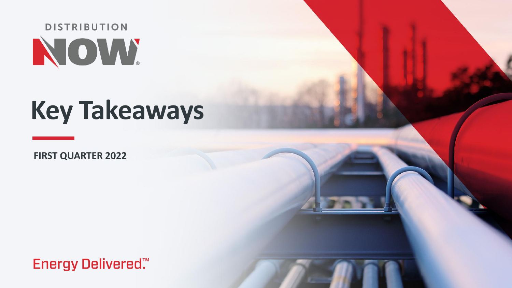

# **Key Takeaways**

**FIRST QUARTER 2022**

**Energy Delivered**.™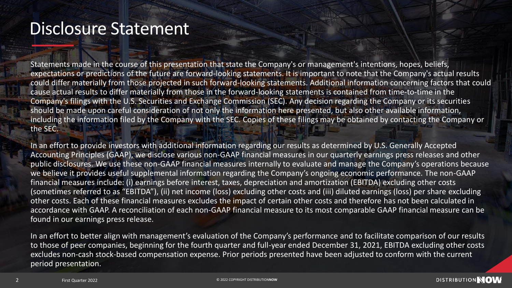### Disclosure Statement

Statements made in the course of this presentation that state the Company's or management's intentions, hopes, beliefs, expectations or predictions of the future are forward-looking statements. It is important to note that the Company's actual results could differ materially from those projected in such forward-looking statements. Additional information concerning factors that could cause actual results to differ materially from those in the forward-looking statements is contained from time-to-time in the Company's filings with the U.S. Securities and Exchange Commission (SEC). Any decision regarding the Company or its securities should be made upon careful consideration of not only the information here presented, but also other available information, including the information filed by the Company with the SEC. Copies of these filings may be obtained by contacting the Company or the SEC.

In an effort to provide investors with additional information regarding our results as determined by U.S. Generally Accepted Accounting Principles (GAAP), we disclose various non-GAAP financial measures in our quarterly earnings press releases and other public disclosures. We use these non-GAAP financial measures internally to evaluate and manage the Company's operations because we believe it provides useful supplemental information regarding the Company's ongoing economic performance. The non-GAAP financial measures include: (i) earnings before interest, taxes, depreciation and amortization (EBITDA) excluding other costs (sometimes referred to as "EBITDA"), (ii) net income (loss) excluding other costs and (iii) diluted earnings (loss) per share excluding other costs. Each of these financial measures excludes the impact of certain other costs and therefore has not been calculated in accordance with GAAP. A reconciliation of each non-GAAP financial measure to its most comparable GAAP financial measure can be found in our earnings press release.

In an effort to better align with management's evaluation of the Company's performance and to facilitate comparison of our results to those of peer companies, beginning for the fourth quarter and full-year ended December 31, 2021, EBITDA excluding other costs excludes non-cash stock-based compensation expense. Prior periods presented have been adjusted to conform with the current period presentation.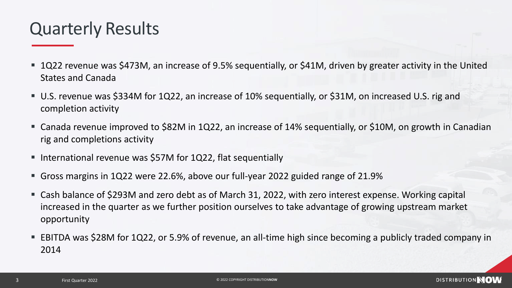### Quarterly Results

- 1Q22 revenue was \$473M, an increase of 9.5% sequentially, or \$41M, driven by greater activity in the United States and Canada
- U.S. revenue was \$334M for 1Q22, an increase of 10% sequentially, or \$31M, on increased U.S. rig and completion activity
- Canada revenue improved to \$82M in 1Q22, an increase of 14% sequentially, or \$10M, on growth in Canadian rig and completions activity
- International revenue was \$57M for 1Q22, flat sequentially
- Gross margins in 1Q22 were 22.6%, above our full-year 2022 guided range of 21.9%
- Cash balance of \$293M and zero debt as of March 31, 2022, with zero interest expense. Working capital increased in the quarter as we further position ourselves to take advantage of growing upstream market opportunity
- EBITDA was \$28M for 1Q22, or 5.9% of revenue, an all-time high since becoming a publicly traded company in 2014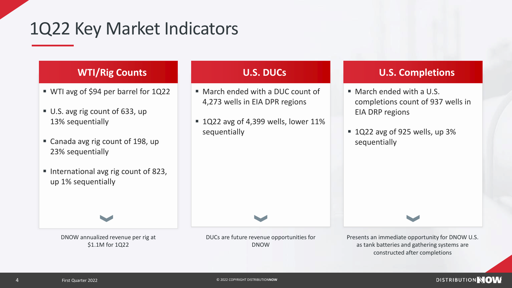### 1Q22 Key Market Indicators

#### **WTI/Rig Counts**

- WTI avg of \$94 per barrel for 1Q22
- U.S. avg rig count of 633, up 13% sequentially
- Canada avg rig count of 198, up 23% sequentially
- International avg rig count of 823, up 1% sequentially

DNOW annualized revenue per rig at \$1.1M for 1Q22

#### **U.S. DUCs**

- March ended with a DUC count of 4,273 wells in EIA DPR regions
- $\blacksquare$  1Q22 avg of 4,399 wells, lower 11% sequentially

#### **U.S. Completions**

- March ended with a U.S. completions count of 937 wells in EIA DRP regions
- $\blacksquare$  1Q22 avg of 925 wells, up 3% sequentially

Presents an immediate opportunity for DNOW U.S. as tank batteries and gathering systems are constructed after completions

DUCs are future revenue opportunities for DNOW

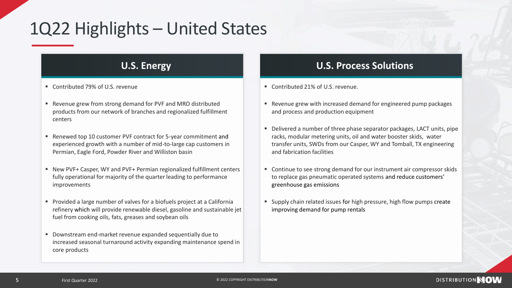# 1Q22 Highlights – United States

#### **U.S. Energy**

- Contributed 79% of U.S. revenue
- Revenue grew from strong demand for PVF and MRO distributed products from our network of branches and regionalized fulfillment centers
- Renewed top 10 customer PVF contract for 5-year commitment and experienced growth with a number of mid-to-large cap customers in Permian, Eagle Ford, Powder River and Williston basin
- New PVF+ Casper, WY and PVF+ Permian regionalized fulfillment centers fully operational for majority of the quarter leading to performance improvements
- Provided a large number of valves for a biofuels project at a California refinery which will provide renewable diesel, gasoline and sustainable jet fuel from cooking oils, fats, greases and soybean oils
- Downstream end-market revenue expanded sequentially due to increased seasonal turnaround activity expanding maintenance spend in core products

### **U.S. Process Solutions**

- Contributed 21% of U.S. revenue.
- Revenue grew with increased demand for engineered pump packages and process and production equipment
- Delivered a number of three phase separator packages, LACT units, pipe racks, modular metering units, oil and water booster skids, water transfer units, SWDs from our Casper, WY and Tomball, TX engineering and fabrication facilities
- Continue to see strong demand for our instrument air compressor skids to replace gas pneumatic operated systems and reduce customers' greenhouse gas emissions
- Supply chain related issues for high pressure, high flow pumps create improving demand for pump rentals

DISTRIBUTION NOW

 $5<sub>5</sub>$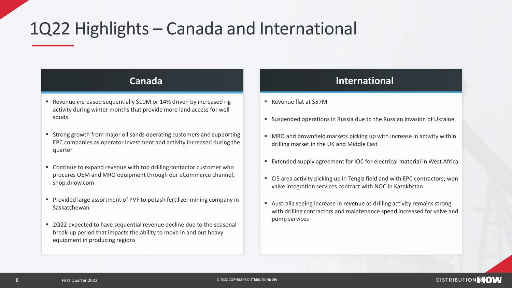# 1Q22 Highlights – Canada and International

#### **Canada**

- Revenue increased sequentially \$10M or 14% driven by increased rig activity during winter months that provide more land access for well spuds
- Strong growth from major oil sands operating customers and supporting EPC companies as operator investment and activity increased during the quarter
- Continue to expand revenue with top drilling contactor customer who procures OEM and MRO equipment through our eCommerce channel, shop.dnow.com
- Provided large assortment of PVF to potash fertilizer mining company in Saskatchewan
- 2Q22 expected to have sequential revenue decline due to the seasonal break-up period that impacts the ability to move in and out heavy equipment in producing regions

#### **International**

- Revenue flat at \$57M
- Suspended operations in Russia due to the Russian invasion of Ukraine
- MRO and brownfield markets picking up with increase in activity within drilling market in the UK and Middle East
- Extended supply agreement for IOC for electrical material in West Africa
- CIS area activity picking up in Tengiz field and with EPC contractors; won valve integration services contract with NOC in Kazakhstan
- Australia seeing increase in revenue as drilling activity remains strong with drilling contractors and maintenance spend increased for valve and pump services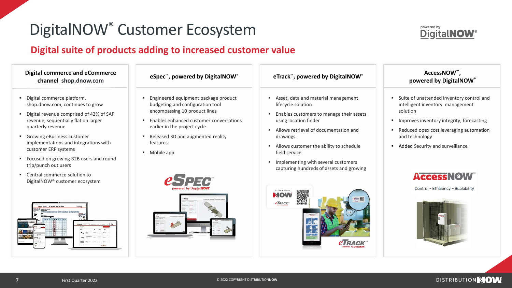### DigitalNOW® Customer Ecosystem

### **Digital suite of products adding to increased customer value**



- Digital commerce platform, shop.dnow.com, continues to grow
- Digital revenue comprised of 42% of SAP revenue, sequentially flat on larger quarterly revenue
- Growing eBusiness customer implementations and integrations with customer ERP systems
- Focused on growing B2B users and round trip/punch out users
- Central commerce solution to DigitalNOW® customer ecosystem



|  |  |  | eSpec <sup>™</sup> , powered by DigitalNOW <sup>®</sup> |
|--|--|--|---------------------------------------------------------|
|--|--|--|---------------------------------------------------------|

- Engineered equipment package product budgeting and configuration tool encompassing 10 product lines
- Enables enhanced customer conversations earlier in the project cycle
- Released 3D and augmented reality features
- Mobile app



#### **eSpec™, powered by DigitalNOW® eTrack™, powered by DigitalNOW®**

- Asset, data and material management lifecycle solution
- Enables customers to manage their assets using location finder
- Allows retrieval of documentation and drawings
- Allows customer the ability to schedule field service
- **■** Implementing with several customers capturing hundreds of assets and growing





#### **AccessNOW™, powered by DigitalNOW®**

- Suite of unattended inventory control and intelligent inventory management solution
- Improves inventory integrity, forecasting
- Reduced opex cost leveraging automation and technology
- Added Security and surveillance



Control - Efficiency - Scalability

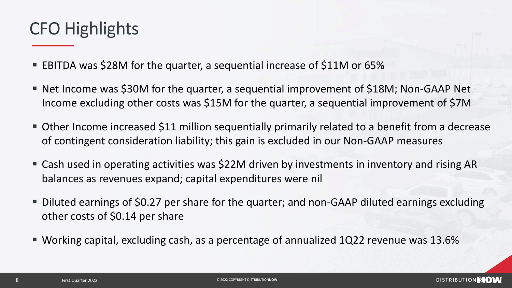### CFO Highlights

- EBITDA was \$28M for the quarter, a sequential increase of \$11M or 65%
- Net Income was \$30M for the quarter, a sequential improvement of \$18M; Non-GAAP Net Income excluding other costs was \$15M for the quarter, a sequential improvement of \$7M
- **Other Income increased \$11 million sequentially primarily related to a benefit from a decrease** of contingent consideration liability; this gain is excluded in our Non-GAAP measures
- Cash used in operating activities was \$22M driven by investments in inventory and rising AR balances as revenues expand; capital expenditures were nil
- Diluted earnings of \$0.27 per share for the quarter; and non-GAAP diluted earnings excluding other costs of \$0.14 per share
- Working capital, excluding cash, as a percentage of annualized 1Q22 revenue was 13.6%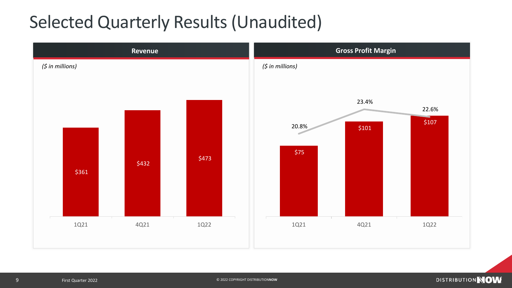### Selected Quarterly Results (Unaudited)

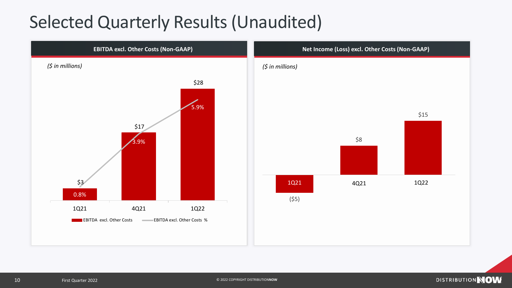### Selected Quarterly Results (Unaudited)

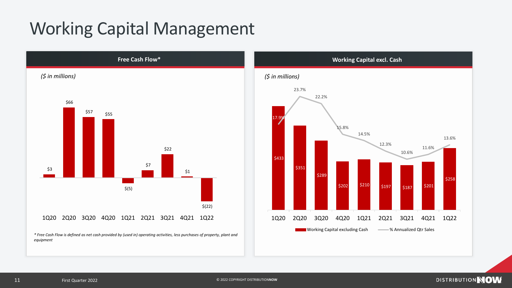### Working Capital Management



*\* Free Cash Flow is defined as net cash provided by (used in) operating activities, less purchases of property, plant and equipment*

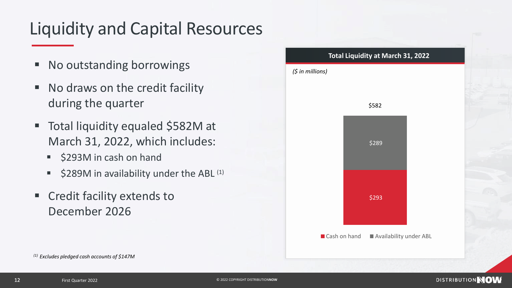# Liquidity and Capital Resources

- No outstanding borrowings
- No draws on the credit facility during the quarter
- Total liquidity equaled \$582M at March 31, 2022, which includes:
	- \$293M in cash on hand
	- \$289M in availability under the ABL  $(1)$
- Credit facility extends to December 2026



*(1) Excludes pledged cash accounts of \$147M*